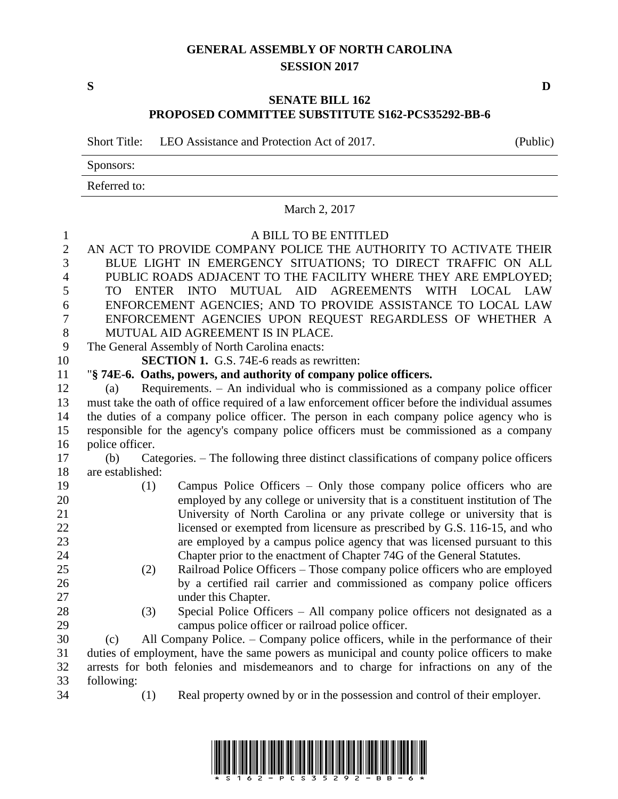## **GENERAL ASSEMBLY OF NORTH CAROLINA SESSION 2017**

**S D**

## **SENATE BILL 162 PROPOSED COMMITTEE SUBSTITUTE S162-PCS35292-BB-6**

Short Title: LEO Assistance and Protection Act of 2017. (Public)

Sponsors:

Referred to:

| March 2, 2017                     |                                                                                                                                                           |  |  |  |
|-----------------------------------|-----------------------------------------------------------------------------------------------------------------------------------------------------------|--|--|--|
| $\mathbf{1}$<br>$\mathbf{2}$<br>3 | A BILL TO BE ENTITLED<br>AN ACT TO PROVIDE COMPANY POLICE THE AUTHORITY TO ACTIVATE THEIR<br>BLUE LIGHT IN EMERGENCY SITUATIONS; TO DIRECT TRAFFIC ON ALL |  |  |  |
| $\overline{4}$<br>5               | PUBLIC ROADS ADJACENT TO THE FACILITY WHERE THEY ARE EMPLOYED;<br>TO ENTER INTO MUTUAL AID AGREEMENTS WITH LOCAL LAW                                      |  |  |  |
| 6                                 | ENFORCEMENT AGENCIES; AND TO PROVIDE ASSISTANCE TO LOCAL LAW                                                                                              |  |  |  |
| $\overline{7}$                    | ENFORCEMENT AGENCIES UPON REQUEST REGARDLESS OF WHETHER A                                                                                                 |  |  |  |
| $8\,$                             | MUTUAL AID AGREEMENT IS IN PLACE.                                                                                                                         |  |  |  |
| 9                                 | The General Assembly of North Carolina enacts:                                                                                                            |  |  |  |
| 10                                | <b>SECTION 1.</b> G.S. 74E-6 reads as rewritten:                                                                                                          |  |  |  |
| 11                                | "§ 74E-6. Oaths, powers, and authority of company police officers.                                                                                        |  |  |  |
| 12                                | Requirements. - An individual who is commissioned as a company police officer<br>(a)                                                                      |  |  |  |
| 13                                | must take the oath of office required of a law enforcement officer before the individual assumes                                                          |  |  |  |
| 14                                | the duties of a company police officer. The person in each company police agency who is                                                                   |  |  |  |
| 15                                | responsible for the agency's company police officers must be commissioned as a company                                                                    |  |  |  |
| 16                                | police officer.                                                                                                                                           |  |  |  |
| 17                                | Categories. – The following three distinct classifications of company police officers<br>(b)                                                              |  |  |  |
| 18                                | are established:                                                                                                                                          |  |  |  |
| 19                                | Campus Police Officers - Only those company police officers who are<br>(1)                                                                                |  |  |  |
| 20                                | employed by any college or university that is a constituent institution of The                                                                            |  |  |  |
| 21                                | University of North Carolina or any private college or university that is                                                                                 |  |  |  |
| 22                                | licensed or exempted from licensure as prescribed by G.S. 116-15, and who                                                                                 |  |  |  |
| 23                                | are employed by a campus police agency that was licensed pursuant to this                                                                                 |  |  |  |
| 24                                | Chapter prior to the enactment of Chapter 74G of the General Statutes.                                                                                    |  |  |  |
| 25                                | Railroad Police Officers – Those company police officers who are employed<br>(2)                                                                          |  |  |  |
| 26                                | by a certified rail carrier and commissioned as company police officers                                                                                   |  |  |  |
| 27                                | under this Chapter.                                                                                                                                       |  |  |  |
| 28                                | Special Police Officers - All company police officers not designated as a<br>(3)                                                                          |  |  |  |
| 29                                | campus police officer or railroad police officer.                                                                                                         |  |  |  |
| 30                                | All Company Police. – Company police officers, while in the performance of their<br>(c)                                                                   |  |  |  |
| 31                                | duties of employment, have the same powers as municipal and county police officers to make                                                                |  |  |  |
| 32                                | arrests for both felonies and misdemeanors and to charge for infractions on any of the                                                                    |  |  |  |
| 33                                | following:                                                                                                                                                |  |  |  |
| 34                                | Real property owned by or in the possession and control of their employer.<br>(1)                                                                         |  |  |  |